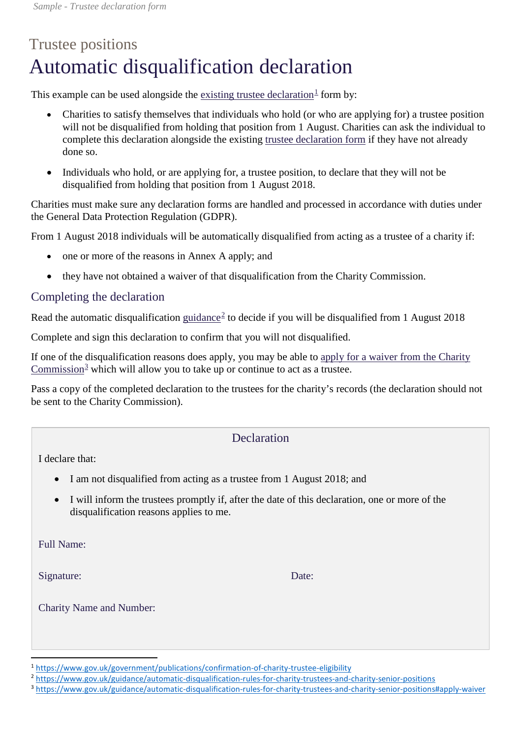## Trustee positions Automatic disqualification declaration

This example can be used alongside the [existing trustee declaration](https://www.gov.uk/government/publications/confirmation-of-charity-trustee-eligibility)<sup>[1](#page-0-0)</sup> form by:

- Charities to satisfy themselves that individuals who hold (or who are applying for) a trustee position will not be disqualified from holding that position from 1 August. Charities can ask the individual to complete this declaration alongside the existing [trustee declaration form](https://www.gov.uk/government/publications/confirmation-of-charity-trustee-eligibility) if they have not already done so.
- Individuals who hold, or are applying for, a trustee position, to declare that they will not be disqualified from holding that position from 1 August 2018.

Charities must make sure any declaration forms are handled and processed in accordance with duties under the General Data Protection Regulation (GDPR).

From 1 August 2018 individuals will be automatically disqualified from acting as a trustee of a charity if:

- one or more of the reasons in Annex A apply; and
- they have not obtained a waiver of that disqualification from the Charity Commission.

## Completing the declaration

Read the automatic disqualification [guidance](https://www.gov.uk/guidance/automatic-disqualification-rules-for-charity-trustees-and-charity-senior-positions)<sup>[2](#page-0-1)</sup> to decide if you will be disqualified from 1 August 2018

Complete and sign this declaration to confirm that you will not disqualified.

If one of the disqualification reasons does apply, you may be able to [apply for a waiver from the Charity](https://www.gov.uk/guidance/automatic-disqualification-rules-for-charity-trustees-and-charity-senior-positions#apply-waiver)  [Commission](https://www.gov.uk/guidance/automatic-disqualification-rules-for-charity-trustees-and-charity-senior-positions#apply-waiver)<sup>[3](#page-0-2)</sup> which will allow you to take up or continue to act as a trustee.

Pass a copy of the completed declaration to the trustees for the charity's records (the declaration should not be sent to the Charity Commission).

## Declaration

I declare that:

- I am not disqualified from acting as a trustee from 1 August 2018; and
- I will inform the trustees promptly if, after the date of this declaration, one or more of the disqualification reasons applies to me.

Full Name:

Signature: Date: Date:

Charity Name and Number:

<span id="page-0-0"></span> <sup>1</sup> <https://www.gov.uk/government/publications/confirmation-of-charity-trustee-eligibility>

<span id="page-0-1"></span><sup>2</sup> <https://www.gov.uk/guidance/automatic-disqualification-rules-for-charity-trustees-and-charity-senior-positions>

<span id="page-0-2"></span><sup>3</sup> <https://www.gov.uk/guidance/automatic-disqualification-rules-for-charity-trustees-and-charity-senior-positions#apply-waiver>